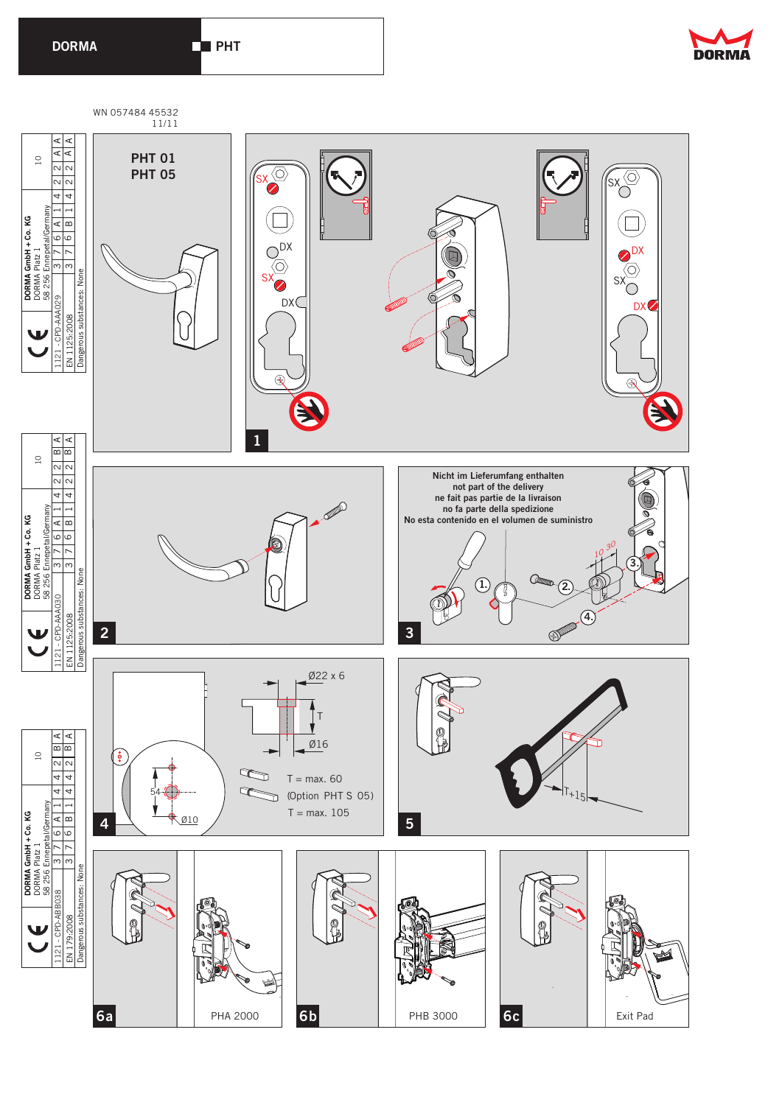**DRHT** 



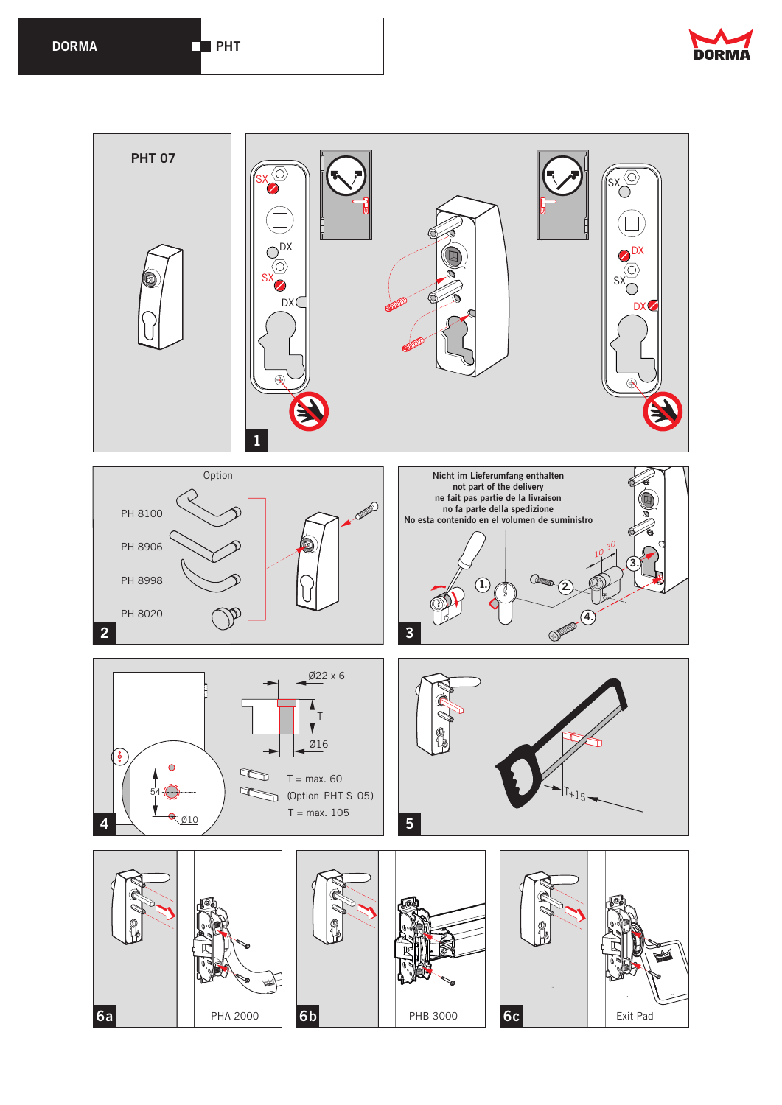

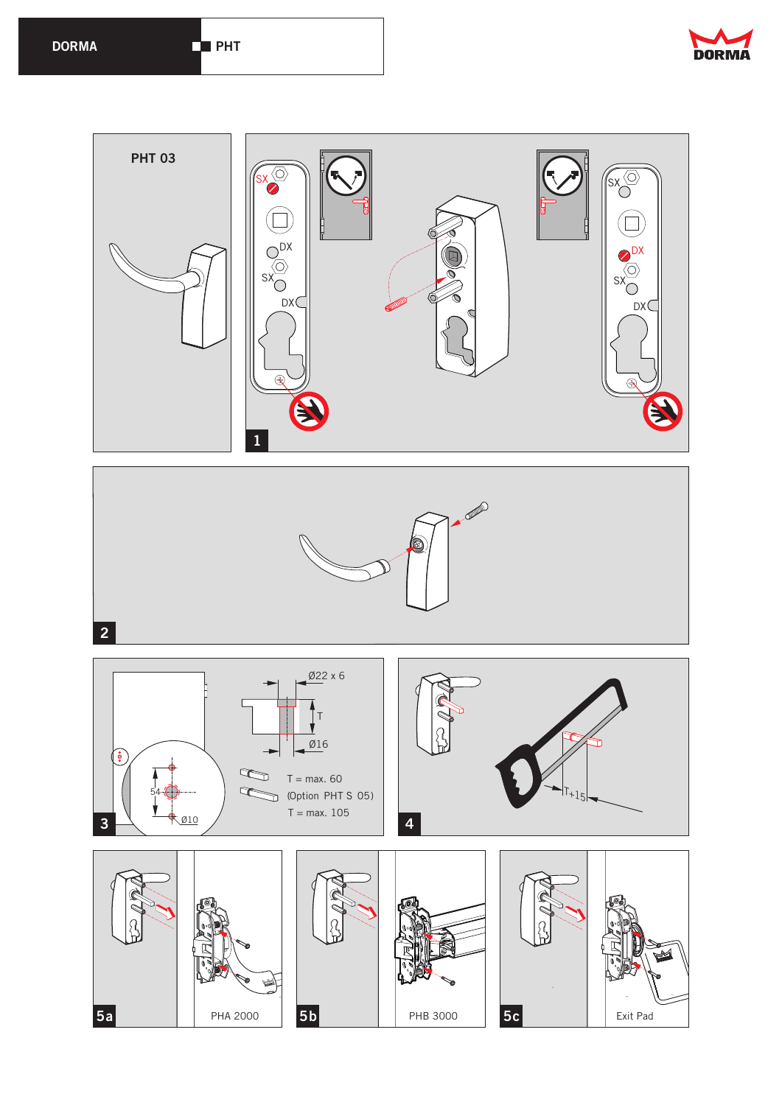







**5a** PHA 2000 **5b** PHB 3000 **5c** Exit Pad

 $\blacktriangleright$